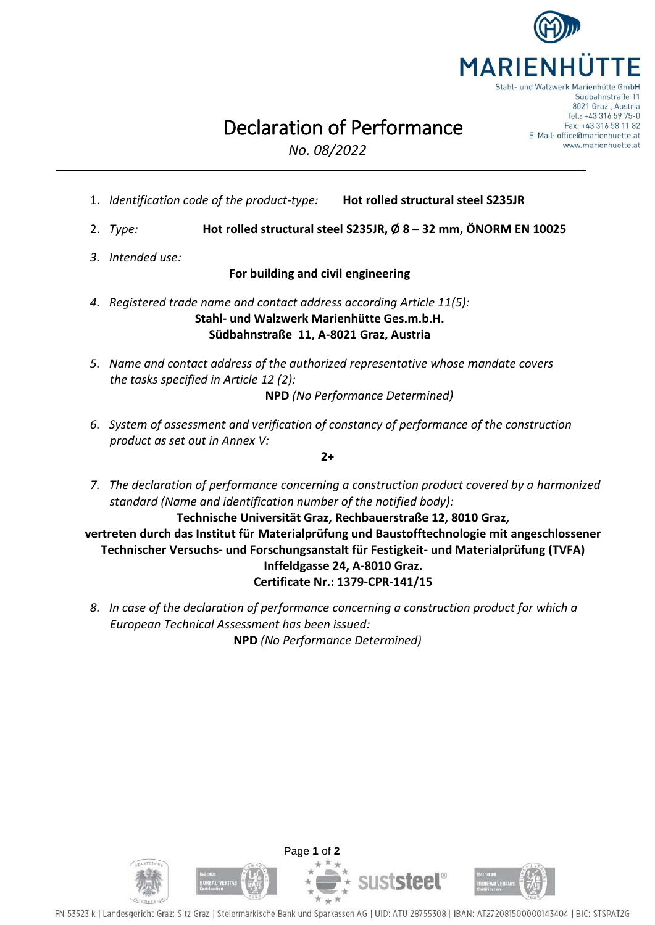

Tel.: +43 316 59 75-0 Fax: +43 316 58 11 82 E-Mail: office@marienhuette.at www.marienhuette.at

## Declaration of Performance

*No. 08/2022*

- 1. *Identification code of the product-type:* **Hot rolled structural steel S235JR**
- 2. *Type:* **Hot rolled structural steel S235JR, Ø 8 – 32 mm, ÖNORM EN 10025**
- *3. Intended use:*

## **For building and civil engineering**

- *4. Registered trade name and contact address according Article 11(5):* **Stahl- und Walzwerk Marienhütte Ges.m.b.H. Südbahnstraße 11, A-8021 Graz, Austria**
- *5. Name and contact address of the authorized representative whose mandate covers the tasks specified in Article 12 (2):*

**NPD** *(No Performance Determined)*

*6. System of assessment and verification of constancy of performance of the construction product as set out in Annex V:*

**2+**

*7. The declaration of performance concerning a construction product covered by a harmonized standard (Name and identification number of the notified body):*

**Technische Universität Graz, Rechbauerstraße 12, 8010 Graz, vertreten durch das Institut für Materialprüfung und Baustofftechnologie mit angeschlossener Technischer Versuchs- und Forschungsanstalt für Festigkeit- und Materialprüfung (TVFA) Inffeldgasse 24, A-8010 Graz. Certificate Nr.: 1379-CPR-141/15**

*8. In case of the declaration of performance concerning a construction product for which a European Technical Assessment has been issued:* **NPD** *(No Performance Determined)*



FN 53523 k | Landesgericht Graz: Sitz Graz | Steiermärkische Bank und Sparkassen AG | UID: ATU 28755308 | IBAN: AT272081500000143404 | BIC: STSPAT2G